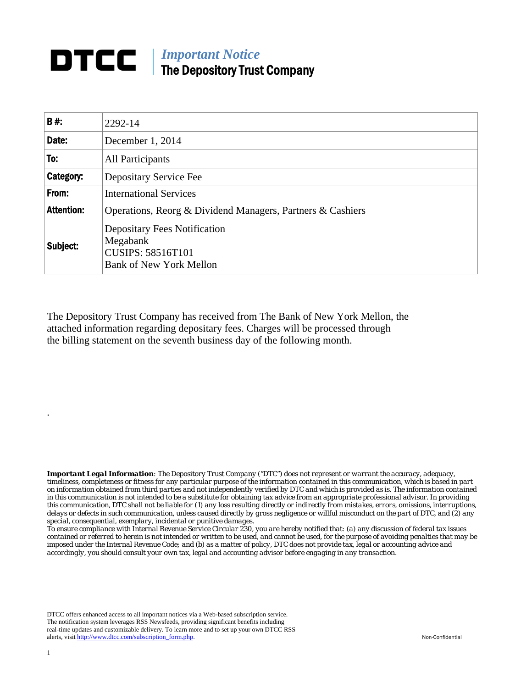## **DTCC** | *Important Notice* The Depository Trust Company

| B#:               | 2292-14                                                                                                       |
|-------------------|---------------------------------------------------------------------------------------------------------------|
| Date:             | December 1, 2014                                                                                              |
| To:               | All Participants                                                                                              |
| Category:         | Depositary Service Fee                                                                                        |
| From:             | <b>International Services</b>                                                                                 |
| <b>Attention:</b> | Operations, Reorg & Dividend Managers, Partners & Cashiers                                                    |
| Subject:          | <b>Depositary Fees Notification</b><br>Megabank<br><b>CUSIPS: 58516T101</b><br><b>Bank of New York Mellon</b> |

The Depository Trust Company has received from The Bank of New York Mellon, the attached information regarding depositary fees. Charges will be processed through the billing statement on the seventh business day of the following month.

*Important Legal Information: The Depository Trust Company ("DTC") does not represent or warrant the accuracy, adequacy, timeliness, completeness or fitness for any particular purpose of the information contained in this communication, which is based in part on information obtained from third parties and not independently verified by DTC and which is provided as is. The information contained in this communication is not intended to be a substitute for obtaining tax advice from an appropriate professional advisor. In providing this communication, DTC shall not be liable for (1) any loss resulting directly or indirectly from mistakes, errors, omissions, interruptions, delays or defects in such communication, unless caused directly by gross negligence or willful misconduct on the part of DTC, and (2) any special, consequential, exemplary, incidental or punitive damages.* 

*To ensure compliance with Internal Revenue Service Circular 230, you are hereby notified that: (a) any discussion of federal tax issues contained or referred to herein is not intended or written to be used, and cannot be used, for the purpose of avoiding penalties that may be imposed under the Internal Revenue Code; and (b) as a matter of policy, DTC does not provide tax, legal or accounting advice and accordingly, you should consult your own tax, legal and accounting advisor before engaging in any transaction.*

DTCC offers enhanced access to all important notices via a Web-based subscription service. The notification system leverages RSS Newsfeeds, providing significant benefits including real-time updates and customizable delivery. To learn more and to set up your own DTCC RSS alerts, visit http://www.dtcc.com/subscription\_form.php. Non-Confidential

.